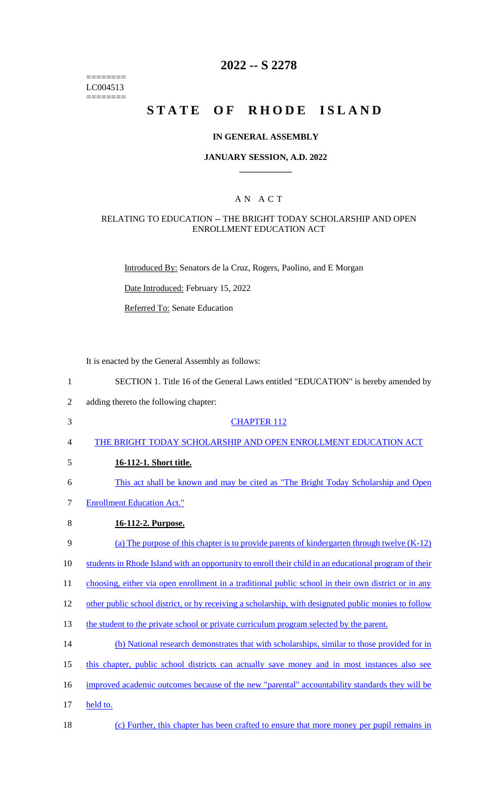======== LC004513  $=$ 

# **2022 -- S 2278**

# **STATE OF RHODE ISLAND**

### **IN GENERAL ASSEMBLY**

### **JANUARY SESSION, A.D. 2022 \_\_\_\_\_\_\_\_\_\_\_\_**

## A N A C T

### RELATING TO EDUCATION -- THE BRIGHT TODAY SCHOLARSHIP AND OPEN ENROLLMENT EDUCATION ACT

Introduced By: Senators de la Cruz, Rogers, Paolino, and E Morgan

Date Introduced: February 15, 2022

Referred To: Senate Education

It is enacted by the General Assembly as follows:

| $\mathbf{1}$   | SECTION 1. Title 16 of the General Laws entitled "EDUCATION" is hereby amended by                     |
|----------------|-------------------------------------------------------------------------------------------------------|
| $\overline{2}$ | adding thereto the following chapter:                                                                 |
| 3              | <b>CHAPTER 112</b>                                                                                    |
| 4              | THE BRIGHT TODAY SCHOLARSHIP AND OPEN ENROLLMENT EDUCATION ACT                                        |
| 5              | 16-112-1. Short title.                                                                                |
| 6              | This act shall be known and may be cited as "The Bright Today Scholarship and Open                    |
| 7              | <b>Enrollment Education Act."</b>                                                                     |
| 8              | 16-112-2. Purpose.                                                                                    |
| 9              | (a) The purpose of this chapter is to provide parents of kindergarten through twelve $(K-12)$         |
| 10             | students in Rhode Island with an opportunity to enroll their child in an educational program of their |
| 11             | choosing, either via open enrollment in a traditional public school in their own district or in any   |
| 12             | other public school district, or by receiving a scholarship, with designated public monies to follow  |
| 13             | the student to the private school or private curriculum program selected by the parent.               |
| 14             | (b) National research demonstrates that with scholarships, similar to those provided for in           |
| 15             | this chapter, public school districts can actually save money and in most instances also see          |
| 16             | improved academic outcomes because of the new "parental" accountability standards they will be        |
| 17             | held to.                                                                                              |
| 18             | (c) Further, this chapter has been crafted to ensure that more money per pupil remains in             |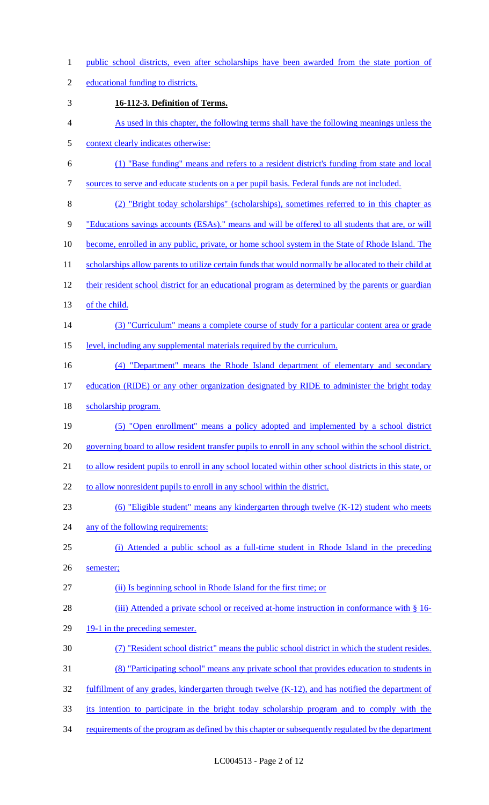- 1 public school districts, even after scholarships have been awarded from the state portion of
- 2 educational funding to districts.
- 3 **16-112-3. Definition of Terms.**
- 4 As used in this chapter, the following terms shall have the following meanings unless the
- 5 context clearly indicates otherwise:
- 6 (1) "Base funding" means and refers to a resident district's funding from state and local
- 7 sources to serve and educate students on a per pupil basis. Federal funds are not included.
- 8 (2) "Bright today scholarships" (scholarships), sometimes referred to in this chapter as
- 9 "Educations savings accounts (ESAs)." means and will be offered to all students that are, or will
- 10 become, enrolled in any public, private, or home school system in the State of Rhode Island. The
- 11 scholarships allow parents to utilize certain funds that would normally be allocated to their child at
- 12 their resident school district for an educational program as determined by the parents or guardian
- 13 of the child.
- 14 (3) "Curriculum" means a complete course of study for a particular content area or grade
- 15 level, including any supplemental materials required by the curriculum.
- 16 (4) "Department" means the Rhode Island department of elementary and secondary
- 17 education (RIDE) or any other organization designated by RIDE to administer the bright today
- 18 scholarship program.
- 19 (5) "Open enrollment" means a policy adopted and implemented by a school district
- 20 governing board to allow resident transfer pupils to enroll in any school within the school district.
- 21 to allow resident pupils to enroll in any school located within other school districts in this state, or
- 22 to allow nonresident pupils to enroll in any school within the district.
- 23 (6) "Eligible student" means any kindergarten through twelve (K-12) student who meets
- 24 any of the following requirements:
- 25 (i) Attended a public school as a full-time student in Rhode Island in the preceding 26 semester;
- 27 (ii) Is beginning school in Rhode Island for the first time; or
- 28 (iii) Attended a private school or received at-home instruction in conformance with § 16-
- 29 19-1 in the preceding semester.
- 30 (7) "Resident school district" means the public school district in which the student resides.
- 31 (8) "Participating school" means any private school that provides education to students in
- 32 fulfillment of any grades, kindergarten through twelve (K-12), and has notified the department of
- 33 its intention to participate in the bright today scholarship program and to comply with the
- 34 requirements of the program as defined by this chapter or subsequently regulated by the department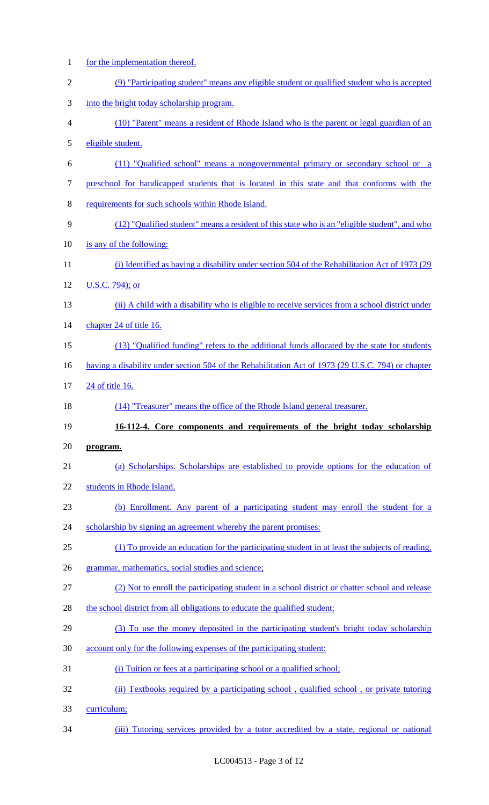for the implementation thereof. (9) "Participating student" means any eligible student or qualified student who is accepted into the bright today scholarship program. (10) "Parent" means a resident of Rhode Island who is the parent or legal guardian of an eligible student. (11) "Qualified school" means a nongovernmental primary or secondary school or a preschool for handicapped students that is located in this state and that conforms with the requirements for such schools within Rhode Island. (12) "Qualified student" means a resident of this state who is an "eligible student", and who is any of the following: 11 (i) Identified as having a disability under section 504 of the Rehabilitation Act of 1973 (29 U.S.C. 794); or (ii) A child with a disability who is eligible to receive services from a school district under 14 chapter 24 of title 16. (13) "Qualified funding" refers to the additional funds allocated by the state for students 16 having a disability under section 504 of the Rehabilitation Act of 1973 (29 U.S.C. 794) or chapter 24 of title 16. (14) "Treasurer" means the office of the Rhode Island general treasurer. **16-112-4. Core components and requirements of the bright today scholarship program.**  (a) Scholarships. Scholarships are established to provide options for the education of students in Rhode Island. (b) Enrollment. Any parent of a participating student may enroll the student for a 24 scholarship by signing an agreement whereby the parent promises: (1) To provide an education for the participating student in at least the subjects of reading, grammar, mathematics, social studies and science; (2) Not to enroll the participating student in a school district or chatter school and release 28 the school district from all obligations to educate the qualified student; (3) To use the money deposited in the participating student's bright today scholarship account only for the following expenses of the participating student: 31 (i) Tuition or fees at a participating school or a qualified school; (ii) Textbooks required by a participating school , qualified school , or private tutoring curriculum; (iii) Tutoring services provided by a tutor accredited by a state, regional or national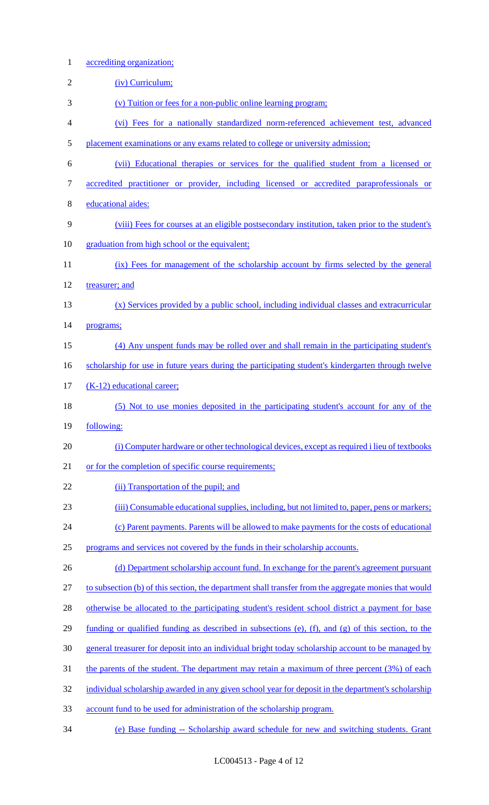accrediting organization; 2 (iv) Curriculum; (v) Tuition or fees for a non-public online learning program; (vi) Fees for a nationally standardized norm-referenced achievement test, advanced placement examinations or any exams related to college or university admission; (vii) Educational therapies or services for the qualified student from a licensed or accredited practitioner or provider, including licensed or accredited paraprofessionals or educational aides: (viii) Fees for courses at an eligible postsecondary institution, taken prior to the student's 10 graduation from high school or the equivalent; (ix) Fees for management of the scholarship account by firms selected by the general treasurer; and (x) Services provided by a public school, including individual classes and extracurricular **programs**; (4) Any unspent funds may be rolled over and shall remain in the participating student's 16 scholarship for use in future years during the participating student's kindergarten through twelve 17 (K-12) educational career; (5) Not to use monies deposited in the participating student's account for any of the following: (i) Computer hardware or other technological devices, except as required i lieu of textbooks or for the completion of specific course requirements; 22 (ii) Transportation of the pupil; and (iii) Consumable educational supplies, including, but not limited to, paper, pens or markers; (c) Parent payments. Parents will be allowed to make payments for the costs of educational programs and services not covered by the funds in their scholarship accounts. 26 (d) Department scholarship account fund. In exchange for the parent's agreement pursuant to subsection (b) of this section, the department shall transfer from the aggregate monies that would 28 otherwise be allocated to the participating student's resident school district a payment for base funding or qualified funding as described in subsections (e), (f), and (g) of this section, to the general treasurer for deposit into an individual bright today scholarship account to be managed by the parents of the student. The department may retain a maximum of three percent (3%) of each 32 individual scholarship awarded in any given school year for deposit in the department's scholarship account fund to be used for administration of the scholarship program. (e) Base funding -- Scholarship award schedule for new and switching students. Grant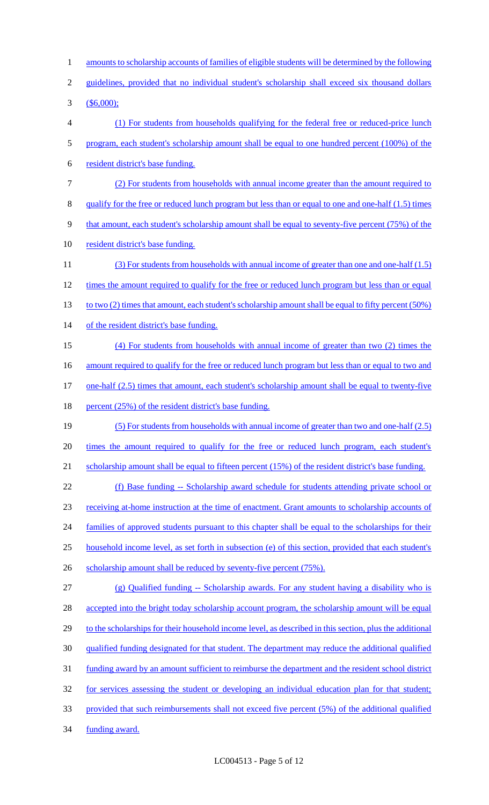1 amounts to scholarship accounts of families of eligible students will be determined by the following 2 guidelines, provided that no individual student's scholarship shall exceed six thousand dollars 3 (\$6,000); 4 (1) For students from households qualifying for the federal free or reduced-price lunch 5 program, each student's scholarship amount shall be equal to one hundred percent (100%) of the 6 resident district's base funding. 7 (2) For students from households with annual income greater than the amount required to 8 qualify for the free or reduced lunch program but less than or equal to one and one-half (1.5) times 9 that amount, each student's scholarship amount shall be equal to seventy-five percent (75%) of the 10 resident district's base funding. 11 (3) For students from households with annual income of greater than one and one-half (1.5) 12 times the amount required to qualify for the free or reduced lunch program but less than or equal 13 to two (2) times that amount, each student's scholarship amount shall be equal to fifty percent (50%) 14 of the resident district's base funding. 15 (4) For students from households with annual income of greater than two (2) times the 16 amount required to qualify for the free or reduced lunch program but less than or equal to two and 17 one-half (2.5) times that amount, each student's scholarship amount shall be equal to twenty-five 18 percent (25%) of the resident district's base funding. 19 (5) For students from households with annual income of greater than two and one-half (2.5) 20 times the amount required to qualify for the free or reduced lunch program, each student's 21 scholarship amount shall be equal to fifteen percent (15%) of the resident district's base funding. 22 (f) Base funding -- Scholarship award schedule for students attending private school or 23 receiving at-home instruction at the time of enactment. Grant amounts to scholarship accounts of 24 families of approved students pursuant to this chapter shall be equal to the scholarships for their 25 household income level, as set forth in subsection (e) of this section, provided that each student's 26 scholarship amount shall be reduced by seventy-five percent (75%). 27 (g) Qualified funding -- Scholarship awards. For any student having a disability who is 28 accepted into the bright today scholarship account program, the scholarship amount will be equal 29 to the scholarships for their household income level, as described in this section, plus the additional 30 qualified funding designated for that student. The department may reduce the additional qualified 31 funding award by an amount sufficient to reimburse the department and the resident school district 32 for services assessing the student or developing an individual education plan for that student; 33 provided that such reimbursements shall not exceed five percent (5%) of the additional qualified 34 funding award.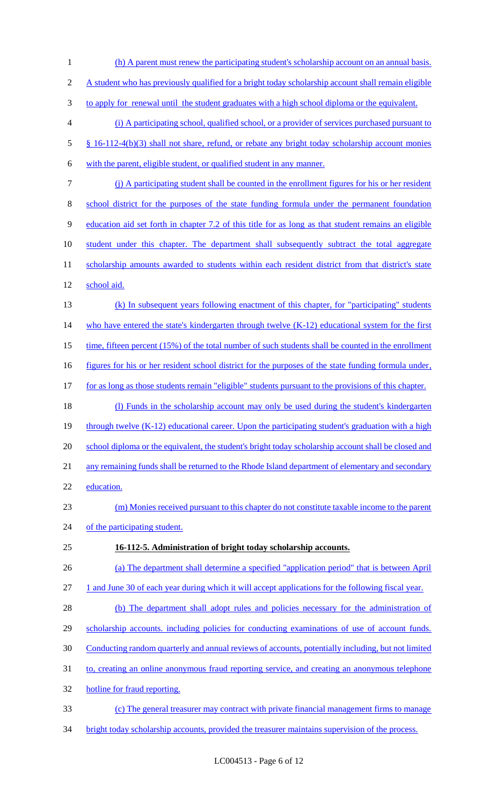1 (h) A parent must renew the participating student's scholarship account on an annual basis. 2 A student who has previously qualified for a bright today scholarship account shall remain eligible 3 to apply for renewal until the student graduates with a high school diploma or the equivalent. 4 (i) A participating school, qualified school, or a provider of services purchased pursuant to 5 § 16-112-4(b)(3) shall not share, refund, or rebate any bright today scholarship account monies 6 with the parent, eligible student, or qualified student in any manner. 7 (j) A participating student shall be counted in the enrollment figures for his or her resident 8 school district for the purposes of the state funding formula under the permanent foundation 9 education aid set forth in chapter 7.2 of this title for as long as that student remains an eligible 10 student under this chapter. The department shall subsequently subtract the total aggregate 11 scholarship amounts awarded to students within each resident district from that district's state 12 school aid. 13 (k) In subsequent years following enactment of this chapter, for "participating" students 14 who have entered the state's kindergarten through twelve (K-12) educational system for the first 15 time, fifteen percent (15%) of the total number of such students shall be counted in the enrollment 16 figures for his or her resident school district for the purposes of the state funding formula under, 17 for as long as those students remain "eligible" students pursuant to the provisions of this chapter. 18 (l) Funds in the scholarship account may only be used during the student's kindergarten 19 through twelve (K-12) educational career. Upon the participating student's graduation with a high 20 school diploma or the equivalent, the student's bright today scholarship account shall be closed and 21 any remaining funds shall be returned to the Rhode Island department of elementary and secondary 22 education. 23 (m) Monies received pursuant to this chapter do not constitute taxable income to the parent 24 of the participating student. 25 **16-112-5. Administration of bright today scholarship accounts.**  26 (a) The department shall determine a specified "application period" that is between April 27 1 and June 30 of each year during which it will accept applications for the following fiscal year. 28 (b) The department shall adopt rules and policies necessary for the administration of 29 scholarship accounts. including policies for conducting examinations of use of account funds. 30 Conducting random quarterly and annual reviews of accounts, potentially including, but not limited 31 to, creating an online anonymous fraud reporting service, and creating an anonymous telephone 32 hotline for fraud reporting. 33 (c) The general treasurer may contract with private financial management firms to manage 34 bright today scholarship accounts, provided the treasurer maintains supervision of the process.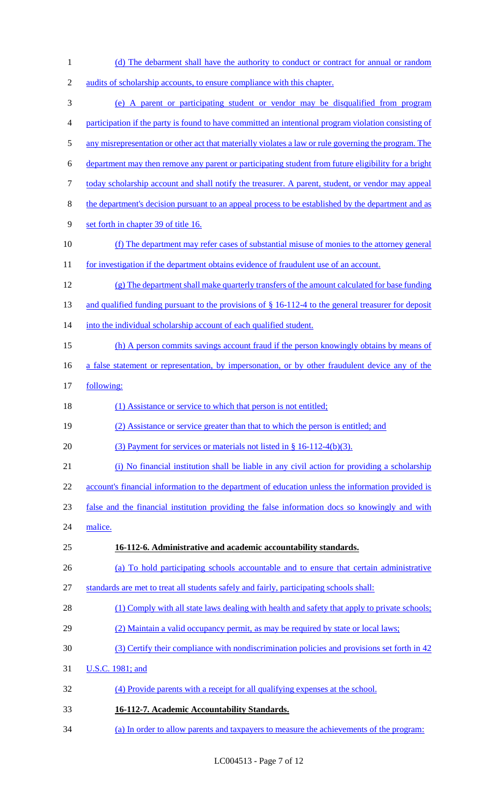| $\mathbf{1}$     | (d) The debarment shall have the authority to conduct or contract for annual or random                 |
|------------------|--------------------------------------------------------------------------------------------------------|
| $\sqrt{2}$       | audits of scholarship accounts, to ensure compliance with this chapter.                                |
| 3                | (e) A parent or participating student or vendor may be disqualified from program                       |
| 4                | participation if the party is found to have committed an intentional program violation consisting of   |
| 5                | any misrepresentation or other act that materially violates a law or rule governing the program. The   |
| 6                | department may then remove any parent or participating student from future eligibility for a bright    |
| $\boldsymbol{7}$ | today scholarship account and shall notify the treasurer. A parent, student, or vendor may appeal      |
| $8\,$            | the department's decision pursuant to an appeal process to be established by the department and as     |
| 9                | set forth in chapter 39 of title 16.                                                                   |
| 10               | (f) The department may refer cases of substantial misuse of monies to the attorney general             |
| 11               | for investigation if the department obtains evidence of fraudulent use of an account.                  |
| 12               | (g) The department shall make quarterly transfers of the amount calculated for base funding            |
| 13               | and qualified funding pursuant to the provisions of $\S 16-112-4$ to the general treasurer for deposit |
| 14               | into the individual scholarship account of each qualified student.                                     |
| 15               | (h) A person commits savings account fraud if the person knowingly obtains by means of                 |
| 16               | a false statement or representation, by impersonation, or by other fraudulent device any of the        |
| 17               | following:                                                                                             |
|                  |                                                                                                        |
| 18               | (1) Assistance or service to which that person is not entitled;                                        |
| 19               | (2) Assistance or service greater than that to which the person is entitled; and                       |
| 20               | (3) Payment for services or materials not listed in $\S$ 16-112-4(b)(3).                               |
| 21               | (i) No financial institution shall be liable in any civil action for providing a scholarship           |
| 22               | account's financial information to the department of education unless the information provided is      |
| 23               | false and the financial institution providing the false information docs so knowingly and with         |
| 24               | malice.                                                                                                |
| 25               | 16-112-6. Administrative and academic accountability standards.                                        |
| 26               | (a) To hold participating schools accountable and to ensure that certain administrative                |
| 27               | standards are met to treat all students safely and fairly, participating schools shall:                |
| 28               | (1) Comply with all state laws dealing with health and safety that apply to private schools;           |
| 29               | (2) Maintain a valid occupancy permit, as may be required by state or local laws;                      |
| 30               | (3) Certify their compliance with nondiscrimination policies and provisions set forth in 42            |
| 31               | U.S.C. 1981; and                                                                                       |
| 32               | (4) Provide parents with a receipt for all qualifying expenses at the school.                          |
| 33               | 16-112-7. Academic Accountability Standards.                                                           |

LC004513 - Page 7 of 12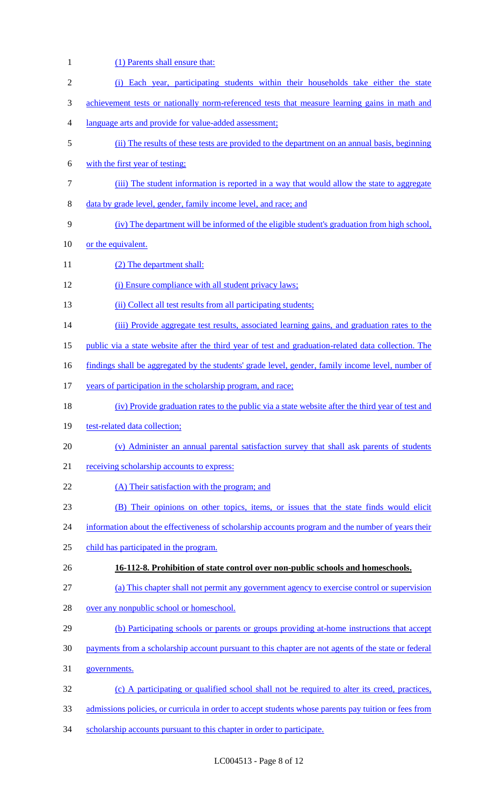(1) Parents shall ensure that: (i) Each year, participating students within their households take either the state 3 achievement tests or nationally norm-referenced tests that measure learning gains in math and language arts and provide for value-added assessment; (ii) The results of these tests are provided to the department on an annual basis, beginning with the first year of testing; (iii) The student information is reported in a way that would allow the state to aggregate data by grade level, gender, family income level, and race; and (iv) The department will be informed of the eligible student's graduation from high school, 10 or the equivalent. 11 (2) The department shall: (i) Ensure compliance with all student privacy laws; 13 (ii) Collect all test results from all participating students; 14 (iii) Provide aggregate test results, associated learning gains, and graduation rates to the public via a state website after the third year of test and graduation-related data collection. The 16 findings shall be aggregated by the students' grade level, gender, family income level, number of 17 years of participation in the scholarship program, and race; (iv) Provide graduation rates to the public via a state website after the third year of test and 19 test-related data collection; (v) Administer an annual parental satisfaction survey that shall ask parents of students 21 receiving scholarship accounts to express: 22 (A) Their satisfaction with the program; and (B) Their opinions on other topics, items, or issues that the state finds would elicit 24 information about the effectiveness of scholarship accounts program and the number of years their child has participated in the program. **16-112-8. Prohibition of state control over non-public schools and homeschools.**  (a) This chapter shall not permit any government agency to exercise control or supervision over any nonpublic school or homeschool. (b) Participating schools or parents or groups providing at-home instructions that accept payments from a scholarship account pursuant to this chapter are not agents of the state or federal governments. (c) A participating or qualified school shall not be required to alter its creed, practices, admissions policies, or curricula in order to accept students whose parents pay tuition or fees from 34 scholarship accounts pursuant to this chapter in order to participate.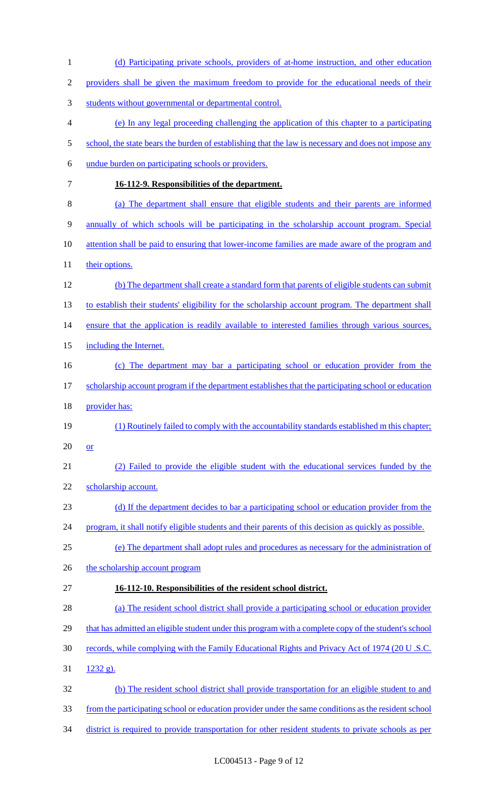| $\mathbf{1}$     | (d) Participating private schools, providers of at-home instruction, and other education                |
|------------------|---------------------------------------------------------------------------------------------------------|
| $\overline{2}$   | providers shall be given the maximum freedom to provide for the educational needs of their              |
| 3                | students without governmental or departmental control.                                                  |
| $\overline{4}$   | (e) In any legal proceeding challenging the application of this chapter to a participating              |
| 5                | school, the state bears the burden of establishing that the law is necessary and does not impose any    |
| 6                | undue burden on participating schools or providers.                                                     |
| $\boldsymbol{7}$ | 16-112-9. Responsibilities of the department.                                                           |
| $8\,$            | (a) The department shall ensure that eligible students and their parents are informed                   |
| $\mathbf{9}$     | annually of which schools will be participating in the scholarship account program. Special             |
| 10               | <u>attention shall be paid to ensuring that lower-income families are made aware of the program and</u> |
| 11               | their options.                                                                                          |
| 12               | (b) The department shall create a standard form that parents of eligible students can submit            |
| 13               | to establish their students' eligibility for the scholarship account program. The department shall      |
| 14               | ensure that the application is readily available to interested families through various sources,        |
| 15               | including the Internet.                                                                                 |
| 16               | (c) The department may bar a participating school or education provider from the                        |
| 17               | scholarship account program if the department establishes that the participating school or education    |
| 18               | provider has:                                                                                           |
| 19               | (1) Routinely failed to comply with the accountability standards established m this chapter;            |
| 20               | $or$                                                                                                    |
| 21               | (2) Failed to provide the eligible student with the educational services funded by the                  |
| 22               | scholarship account.                                                                                    |
| 23               | (d) If the department decides to bar a participating school or education provider from the              |
| 24               | program, it shall notify eligible students and their parents of this decision as quickly as possible.   |
| 25               | (e) The department shall adopt rules and procedures as necessary for the administration of              |
| 26               | the scholarship account program                                                                         |
| 27               | 16-112-10. Responsibilities of the resident school district.                                            |
| 28               | (a) The resident school district shall provide a participating school or education provider             |
| 29               | that has admitted an eligible student under this program with a complete copy of the student's school   |
| 30               | records, while complying with the Family Educational Rights and Privacy Act of 1974 (20 U.S.C.          |
| 31               | $1232 g$ ).                                                                                             |
| 32               | (b) The resident school district shall provide transportation for an eligible student to and            |
| 33               | from the participating school or education provider under the same conditions as the resident school    |
| 34               | district is required to provide transportation for other resident students to private schools as per    |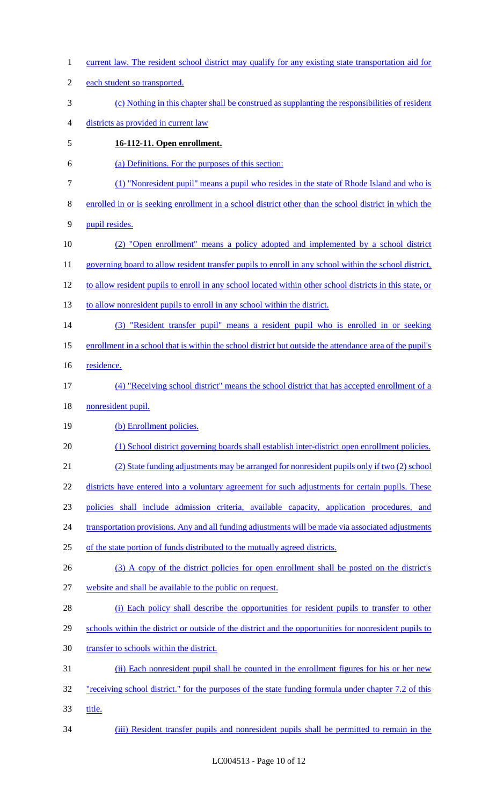current law. The resident school district may qualify for any existing state transportation aid for each student so transported. (c) Nothing in this chapter shall be construed as supplanting the responsibilities of resident districts as provided in current law **16-112-11. Open enrollment.**  (a) Definitions. For the purposes of this section: (1) "Nonresident pupil" means a pupil who resides in the state of Rhode Island and who is enrolled in or is seeking enrollment in a school district other than the school district in which the pupil resides. (2) "Open enrollment" means a policy adopted and implemented by a school district 11 governing board to allow resident transfer pupils to enroll in any school within the school district, to allow resident pupils to enroll in any school located within other school districts in this state, or to allow nonresident pupils to enroll in any school within the district. (3) "Resident transfer pupil" means a resident pupil who is enrolled in or seeking enrollment in a school that is within the school district but outside the attendance area of the pupil's 16 residence. (4) "Receiving school district" means the school district that has accepted enrollment of a nonresident pupil. 19 (b) Enrollment policies. (1) School district governing boards shall establish inter-district open enrollment policies. (2) State funding adjustments may be arranged for nonresident pupils only if two (2) school 22 districts have entered into a voluntary agreement for such adjustments for certain pupils. These policies shall include admission criteria, available capacity, application procedures, and 24 transportation provisions. Any and all funding adjustments will be made via associated adjustments of the state portion of funds distributed to the mutually agreed districts. 26 (3) A copy of the district policies for open enrollment shall be posted on the district's website and shall be available to the public on request. 28 (i) Each policy shall describe the opportunities for resident pupils to transfer to other 29 schools within the district or outside of the district and the opportunities for nonresident pupils to transfer to schools within the district. (ii) Each nonresident pupil shall be counted in the enrollment figures for his or her new 32 "receiving school district." for the purposes of the state funding formula under chapter 7.2 of this title. (iii) Resident transfer pupils and nonresident pupils shall be permitted to remain in the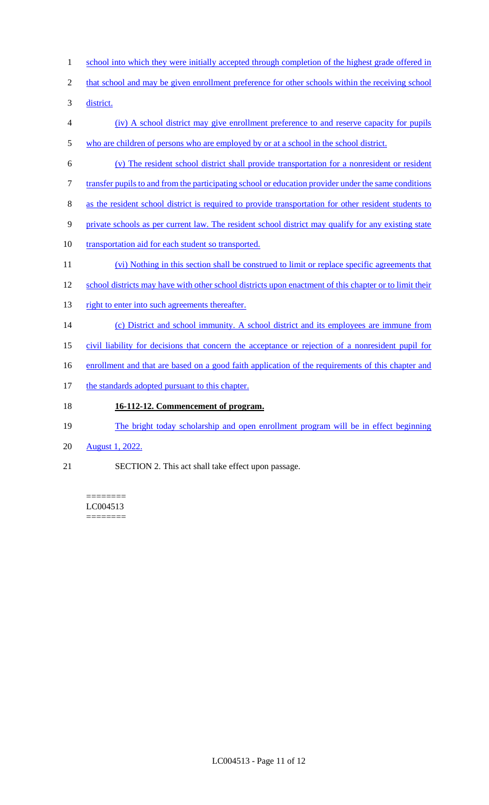- 1 school into which they were initially accepted through completion of the highest grade offered in
- 2 that school and may be given enrollment preference for other schools within the receiving school

3 district.

- 4 (iv) A school district may give enrollment preference to and reserve capacity for pupils 5 who are children of persons who are employed by or at a school in the school district.
- 6 (v) The resident school district shall provide transportation for a nonresident or resident
- 7 transfer pupils to and from the participating school or education provider under the same conditions
- 8 as the resident school district is required to provide transportation for other resident students to
- 9 private schools as per current law. The resident school district may qualify for any existing state
- 10 transportation aid for each student so transported.
- 11 (vi) Nothing in this section shall be construed to limit or replace specific agreements that
- 12 school districts may have with other school districts upon enactment of this chapter or to limit their
- 13 right to enter into such agreements thereafter.
- 14 (c) District and school immunity. A school district and its employees are immune from
- 15 civil liability for decisions that concern the acceptance or rejection of a nonresident pupil for
- 16 enrollment and that are based on a good faith application of the requirements of this chapter and
- 17 the standards adopted pursuant to this chapter.

# 18 **16-112-12. Commencement of program.**

- 19 The bright today scholarship and open enrollment program will be in effect beginning
- 20 August 1, 2022.
- 21 SECTION 2. This act shall take effect upon passage.

#### ======== LC004513 ========